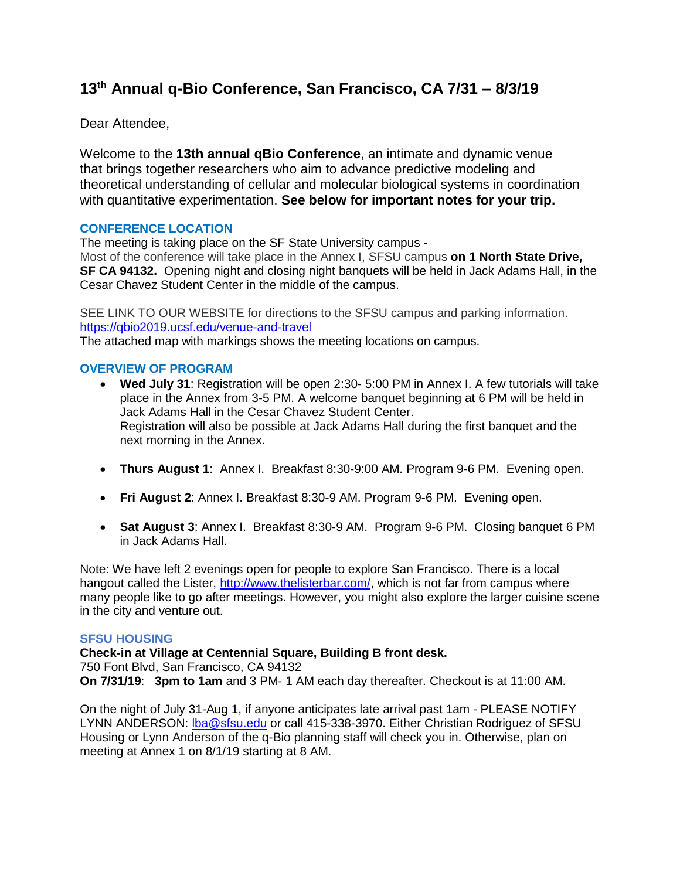# **13th Annual q-Bio Conference, San Francisco, CA 7/31 – 8/3/19**

Dear Attendee,

Welcome to the **13th annual qBio Conference**, an intimate and dynamic venue that brings together researchers who aim to advance predictive modeling and theoretical understanding of cellular and molecular biological systems in coordination with quantitative experimentation. **See below for important notes for your trip.**

# **CONFERENCE LOCATION**

The meeting is taking place on the SF State University campus -

Most of the conference will take place in the Annex I, SFSU campus **on 1 North State Drive, SF CA 94132.** Opening night and closing night banquets will be held in Jack Adams Hall, in the Cesar Chavez Student Center in the middle of the campus.

SEE LINK TO OUR WEBSITE for directions to the SFSU campus and parking information. <https://qbio2019.ucsf.edu/venue-and-travel>

The attached map with markings shows the meeting locations on campus.

## **OVERVIEW OF PROGRAM**

- **Wed July 31**: Registration will be open 2:30- 5:00 PM in Annex I. A few tutorials will take place in the Annex from 3-5 PM. A welcome banquet beginning at 6 PM will be held in Jack Adams Hall in the Cesar Chavez Student Center. Registration will also be possible at Jack Adams Hall during the first banquet and the next morning in the Annex.
- **Thurs August 1**: Annex I. Breakfast 8:30-9:00 AM. Program 9-6 PM. Evening open.
- **Fri August 2**: Annex I. Breakfast 8:30-9 AM. Program 9-6 PM. Evening open.
- **Sat August 3**: Annex I. Breakfast 8:30-9 AM. Program 9-6 PM. Closing banquet 6 PM in Jack Adams Hall.

Note: We have left 2 evenings open for people to explore San Francisco. There is a local hangout called the Lister, [http://www.thelisterbar.com/,](http://www.thelisterbar.com/) which is not far from campus where many people like to go after meetings. However, you might also explore the larger cuisine scene in the city and venture out.

### **SFSU HOUSING**

**Check-in at Village at Centennial Square, Building B front desk.** 750 Font Blvd, San Francisco, CA 94132 **On 7/31/19**: **3pm to 1am** and 3 PM- 1 AM each day thereafter. Checkout is at 11:00 AM.

On the night of July 31-Aug 1, if anyone anticipates late arrival past 1am - PLEASE NOTIFY LYNN ANDERSON: Iba@sfsu.edu or call 415-338-3970. Either Christian Rodriguez of SFSU Housing or Lynn Anderson of the q-Bio planning staff will check you in. Otherwise, plan on meeting at Annex 1 on 8/1/19 starting at 8 AM.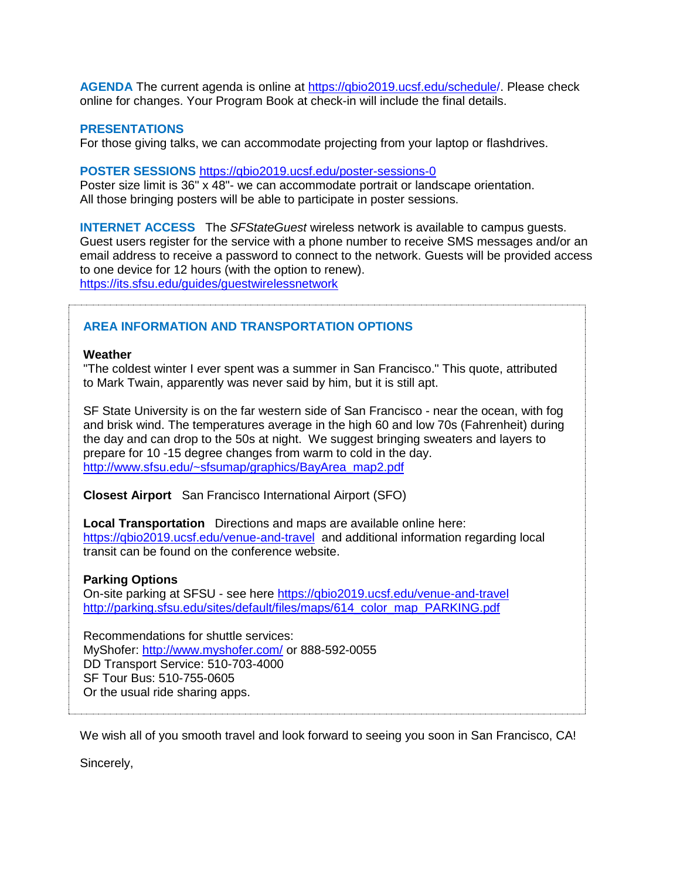**AGENDA** The current agenda is online at [https://qbio2019.ucsf.edu/schedule/](https://qbio2019.ucsf.edu/schedule). Please check online for changes. Your Program Book at check-in will include the final details.

### **PRESENTATIONS**

For those giving talks, we can accommodate projecting from your laptop or flashdrives.

#### **POSTER SESSIONS** <https://qbio2019.ucsf.edu/poster-sessions-0>

Poster size limit is 36" x 48"- we can accommodate portrait or landscape orientation. All those bringing posters will be able to participate in poster sessions.

**INTERNET ACCESS** The *SFStateGuest* wireless network is available to campus guests. Guest users register for the service with a phone number to receive SMS messages and/or an email address to receive a password to connect to the network. Guests will be provided access to one device for 12 hours (with the option to renew). https://its.sfsu.edu/guides/guestwirelessnetwork

## **AREA INFORMATION AND TRANSPORTATION OPTIONS**

#### **Weather**

"The coldest winter I ever spent was a summer in San Francisco." This quote, attributed to Mark Twain, apparently was never said by him, but it is still apt.

SF State University is on the far western side of San Francisco - near the ocean, with fog and brisk wind. The temperatures average in the high 60 and low 70s (Fahrenheit) during the day and can drop to the 50s at night. We suggest bringing sweaters and layers to prepare for 10 -15 degree changes from warm to cold in the day. [http://www.sfsu.edu/~sfsumap/graphics/BayArea\\_map2.pdf](http://www.sfsu.edu/~sfsumap/graphics/BayArea_map2.pdf)

**Closest Airport** San Francisco International Airport (SFO)

**Local Transportation** Directions and maps are available online here: <https://qbio2019.ucsf.edu/venue-and-travel>and additional information regarding local transit can be found on the conference website.

## **Parking Options**

On-site parking at SFSU - see here <https://qbio2019.ucsf.edu/venue-and-travel> [http://parking.sfsu.edu/sites/default/files/maps/614\\_color\\_map\\_PARKING.pdf](http://parking.sfsu.edu/sites/default/files/maps/614_color_map_PARKING.pdf)

Recommendations for shuttle services: MyShofer: <http://www.myshofer.com/> or 888-592-0055 DD Transport Service: 510-703-4000 SF Tour Bus: 510-755-0605 Or the usual ride sharing apps.

We wish all of you smooth travel and look forward to seeing you soon in San Francisco, CA!

Sincerely,